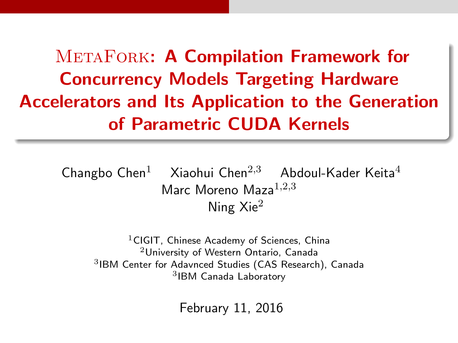METAFORK: A Compilation Framework for Concurrency Models Targeting Hardware Accelerators and Its Application to the Generation of Parametric CUDA Kernels

Changbo Chen<sup>1</sup> Xiaohui Chen<sup>2,3</sup> Abdoul-Kader Keita<sup>4</sup> Marc Moreno Maza $1,2,3$ Ning Xie<sup>2</sup>

<sup>1</sup>CIGIT, Chinese Academy of Sciences, China University of Western Ontario, Canada IBM Center for Adavnced Studies (CAS Research), Canada IBM Canada Laboratory

February 11, 2016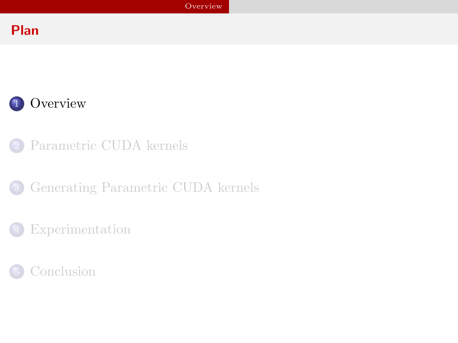# Plan



- [Parametric CUDA kernels](#page-7-0)
- 3 [Generating Parametric CUDA kernels](#page-18-0)
	- [Experimentation](#page-22-0)

<span id="page-1-0"></span>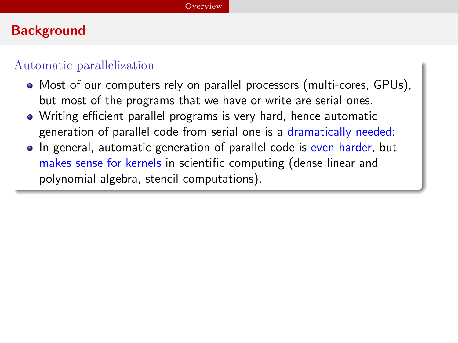# **Background**

#### Automatic parallelization

- Most of our computers rely on parallel processors (multi-cores, GPUs), but most of the programs that we have or write are serial ones.
- Writing efficient parallel programs is very hard, hence automatic generation of parallel code from serial one is a dramatically needed:
- <span id="page-2-0"></span>• In general, automatic generation of parallel code is even harder, but makes sense for kernels in scientific computing (dense linear and polynomial algebra, stencil computations).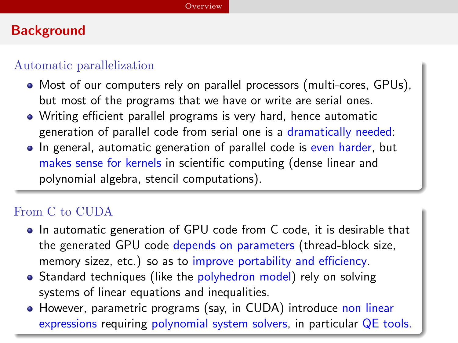# **Background**

#### Automatic parallelization

- Most of our computers rely on parallel processors (multi-cores, GPUs), but most of the programs that we have or write are serial ones.
- Writing efficient parallel programs is very hard, hence automatic generation of parallel code from serial one is a dramatically needed:
- In general, automatic generation of parallel code is even harder, but makes sense for kernels in scientific computing (dense linear and polynomial algebra, stencil computations).

## From C to CUDA

- In automatic generation of GPU code from C code, it is desirable that the generated GPU code depends on parameters (thread-block size, memory sizez, etc.) so as to improve portability and efficiency.
- Standard techniques (like the polyhedron model) rely on solving systems of linear equations and inequalities.
- <span id="page-3-0"></span>• However, parametric programs (say, in CUDA) introduce non linear expressions requiring polynomial system solvers, in particular QE tools.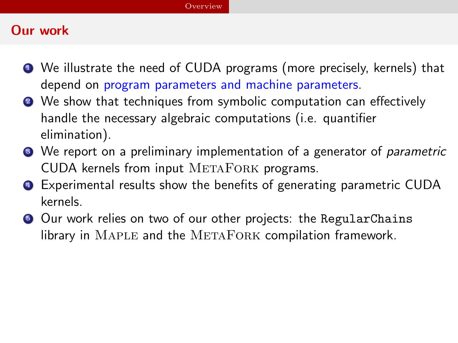#### [Overview](#page-4-0)

# Our work

- <sup>1</sup> We illustrate the need of CUDA programs (more precisely, kernels) that depend on program parameters and machine parameters.
- 2 We show that techniques from symbolic computation can effectively handle the necessary algebraic computations (i.e. quantifier elimination).
- **3** We report on a preliminary implementation of a generator of *parametric* CUDA kernels from input METAFORK programs.
- **4** Experimental results show the benefits of generating parametric CUDA kernels.
- <span id="page-4-0"></span>**•** Our work relies on two of our other projects: the RegularChains library in MAPLE and the METAFORK compilation framework.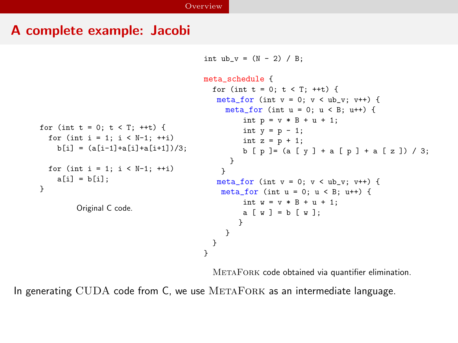#### A complete example: Jacobi

```
int ub v = (N - 2) / B;
```

```
for (int t = 0; t < T; ++t) {
  for (int i = 1; i < N-1; ++i)
    b[i] = (a[i-1]+a[i]+a[i+1]/3;
  for (int i = 1; i < N-1; ++i)
    a[i] = b[i];
}
        Original C code.
                                       meta_schedule {
                                         for (int t = 0; t < T; ++t) {
                                          meta for (int v = 0; v < ub v; v++) {
                                            meta for (int u = 0; u < B; u^{++}) {
                                                 int p = v * B + u + 1;
                                                 int y = p - 1;
                                                 int z = p + 1;
                                                 b [ p ] = (a [ y ] + a [ p ] + a [ z ]) / 3;}
                                            }
                                          meta for (int v = 0; v < ub v; v++) {
                                           meta for (int u = 0; u < B; u^{++}) {
                                                 int w = v * B + u + 1;
                                                a \times b = b \times 1:
                                               }
                                            }
                                         }
                                       }
```
METAFORK code obtained via quantifier elimination.

<span id="page-5-0"></span>In generating CUDA code from C, we use METAFORK as an intermediate language.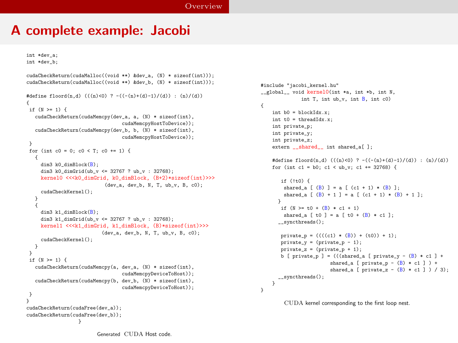{

<span id="page-6-0"></span>}

#### A complete example: Jacobi

int \*dev\_a;

```
int *dev_b;
cudaCheckReturn(cudaMalloc((void **) &dev_a, (N) * sizeof(int)));
cudaCheckReturn(cudaMalloc((void **) &dev_b, (N) * sizeof(int)));
#define floord(n,d) (((n)<0) ? -((-(n)+(d)-1)/(d)) : (n)/(d))
{
if (N \geq 1) {
   cudaCheckReturn(cudaMemcpy(dev_a, a, (N) * sizeof(int),
                                 cudaMemcpyHostToDevice));
   cudaCheckReturn(cudaMemcpy(dev_b, b, (N) * sizeof(int),
                                 cudaMemcpyHostToDevice));
 }
for (int c0 = 0; c0 < T; c0 += 1) {
   {
    dim3 k0_dimBlock(B);
     dim3 k0 dimGrid(ub v \le 32767 ? ub v : 32768);
    kernel0 <<<k0 dimGrid, k0 dimBlock, (B+2)*sizeof(int)>>>
                           (dev_a, dev_b, N, T, ub_v, B, c0);
     cudaCheckKernel();
   }
   {
    dim3 k1_dimBlock(B);
    dim3 k1_dimGrid(ub_v <= 32767 ? ub_v : 32768);
    kernel1 <<<k1 dimGrid, k1 dimBlock, (B)*sizeof(int)>>>
                          (dev_a, dev_b, N, T, ub_v, B, c0);
     cudaCheckKernel();
  }
 }
if (N >= 1) {
   cudaCheckReturn(cudaMemcpy(a, dev_a, (N) * sizeof(int),
                                 cudaMemcpyDeviceToHost));
   cudaCheckReturn(cudaMemcpy(b, dev_b, (N) * sizeof(int),
                                 cudaMemcpyDeviceToHost));
}
}
cudaCheckReturn(cudaFree(dev_a));
cudaCheckReturn(cudaFree(dev_b));
                  }
```

```
#include "jacobi kernel.hu"
__global__ void kernel0(int *a, int *b, int N,
              int T, int ub_v, int B, int c0)
   int b0 = blockIdx.x;
   int t0 = threadIdx.x;
   int private_p;
   int private_y;
   int private_z;
   extern shared int shared af 1:
   #define floord(n,d) (((n)<0) ? -((-(n)+(d)-1)/(d)) : (n)/(d))
   for (int c1 = b0; c1 < ub_v; c1 += 32768) {
       if (It0) fshared_a [ (B) ] = a [ (c1 + 1) * (B) ];
       shared a \lceil (B) + 1 \rceil = a \lceil (c1 + 1) * (B) + 1 \rceil;
     }
       if (N \ge 0 + (R) * c1 + 1)shared_a [ t0 ] = a [ t0 + (B) * c1 ];
     __syncthreads();
       private p = ((( (c1) * (B)) + (t0)) + 1);private_y = (private_p - 1);private_z = (private_p + 1);b [ private_p ] = (((shared_a [ private_y - (B) * c1 ] +shared_a [ private_p - (B) * c1 ] ) +shared a \lceil private z - (B) * c1 1 / 3);
     __syncthreads();
   }
```
CUDA kernel corresponding to the first loop nest.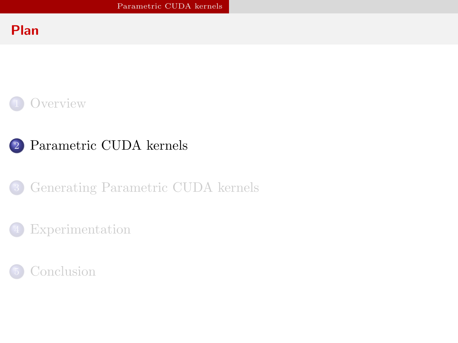## Plan



# 2 [Parametric CUDA kernels](#page-7-0)

3 [Generating Parametric CUDA kernels](#page-18-0)

### [Experimentation](#page-22-0)

<span id="page-7-0"></span>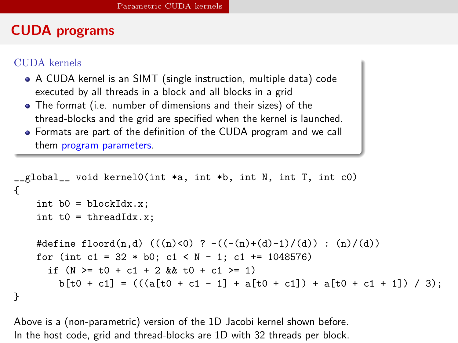# CUDA programs

#### CUDA kernels

- A CUDA kernel is an SIMT (single instruction, multiple data) code executed by all threads in a block and all blocks in a grid
- The format (i.e. number of dimensions and their sizes) of the thread-blocks and the grid are specified when the kernel is launched.
- Formats are part of the definition of the CUDA program and we call them program parameters.

```
__global__ void kernel0(int *a, int *b, int N, int T, int c0)
{
    int b0 = blockIdx.x;
    int t0 = threadIdx.x:
    #define floord(n,d) (((n)<0) ? -((-(n)+(d)-1)/(d)) : (n)/(d))
    for (int c1 = 32 * b0; c1 < N - 1; c1 += 1048576)
      if (N \ge 0 + c1 + 2 \& t0 + c1 \ge 1)b[t0 + c1] = (((a[t0 + c1 - 1] + a[t0 + c1]) + a[t0 + c1 + 1]) / 3);}
```
<span id="page-8-0"></span>Above is a (non-parametric) version of the 1D Jacobi kernel shown before. In the host code, grid and thread-blocks are 1D with 32 threads per block.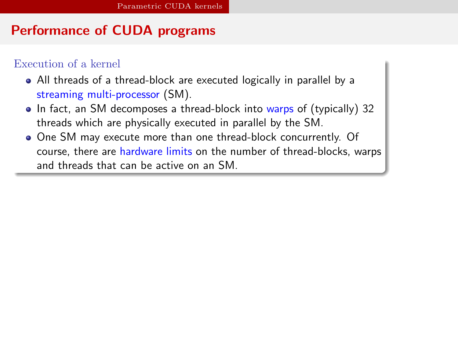# Performance of CUDA programs

#### Execution of a kernel

- All threads of a thread-block are executed logically in parallel by a streaming multi-processor (SM).
- In fact, an SM decomposes a thread-block into warps of (typically) 32 threads which are physically executed in parallel by the SM.
- <span id="page-9-0"></span>One SM may execute more than one thread-block concurrently. Of course, there are hardware limits on the number of thread-blocks, warps and threads that can be active on an SM.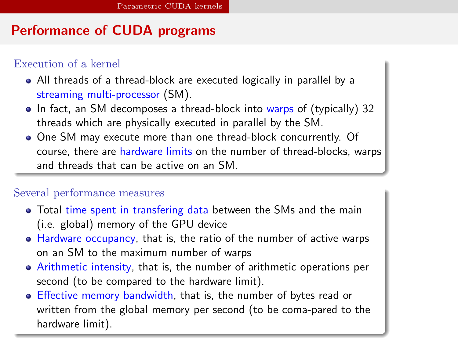# Performance of CUDA programs

#### Execution of a kernel

- All threads of a thread-block are executed logically in parallel by a streaming multi-processor (SM).
- In fact, an SM decomposes a thread-block into warps of (typically) 32 threads which are physically executed in parallel by the SM.
- One SM may execute more than one thread-block concurrently. Of course, there are hardware limits on the number of thread-blocks, warps and threads that can be active on an SM.

#### Several performance measures

- Total time spent in transfering data between the SMs and the main (i.e. global) memory of the GPU device
- Hardware occupancy, that is, the ratio of the number of active warps on an SM to the maximum number of warps
- Arithmetic intensity, that is, the number of arithmetic operations per second (to be compared to the hardware limit).
- <span id="page-10-0"></span>Effective memory bandwidth, that is, the number of bytes read or written from the global memory per second (to be coma-pared to the hardware limit).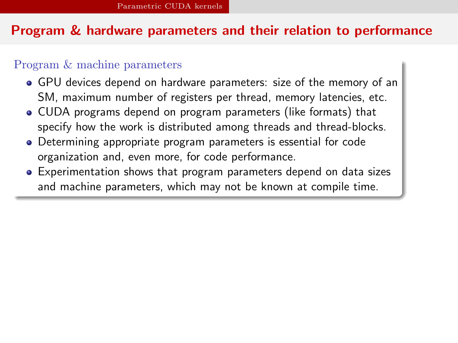### Program & hardware parameters and their relation to performance

#### Program & machine parameters

- GPU devices depend on hardware parameters: size of the memory of an SM, maximum number of registers per thread, memory latencies, etc.
- CUDA programs depend on program parameters (like formats) that specify how the work is distributed among threads and thread-blocks.
- Determining appropriate program parameters is essential for code organization and, even more, for code performance.
- <span id="page-11-0"></span>Experimentation shows that program parameters depend on data sizes and machine parameters, which may not be known at compile time.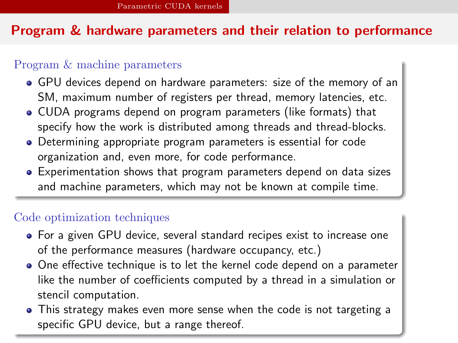## Program & hardware parameters and their relation to performance

#### Program & machine parameters

- GPU devices depend on hardware parameters: size of the memory of an SM, maximum number of registers per thread, memory latencies, etc.
- CUDA programs depend on program parameters (like formats) that specify how the work is distributed among threads and thread-blocks.
- Determining appropriate program parameters is essential for code organization and, even more, for code performance.
- Experimentation shows that program parameters depend on data sizes and machine parameters, which may not be known at compile time.

#### Code optimization techniques

- For a given GPU device, several standard recipes exist to increase one of the performance measures (hardware occupancy, etc.)
- One effective technique is to let the kernel code depend on a parameter like the number of coefficients computed by a thread in a simulation or stencil computation.
- <span id="page-12-0"></span>This strategy makes even more sense when the code is not targeting a specific GPU device, but a range thereof.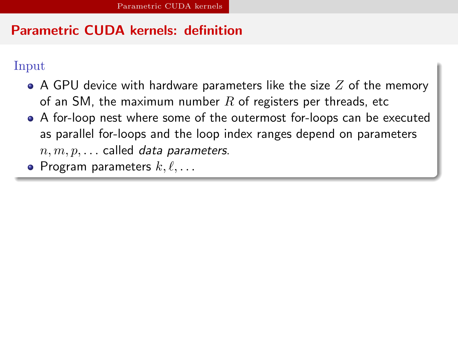# Parametric CUDA kernels: definition

#### Input

- A GPU device with hardware parameters like the size  $Z$  of the memory of an SM, the maximum number  $R$  of registers per threads, etc
- A for-loop nest where some of the outermost for-loops can be executed as parallel for-loops and the loop index ranges depend on parameters  $n, m, p, \ldots$  called data parameters.
- <span id="page-13-0"></span>• Program parameters  $k, \ell, \ldots$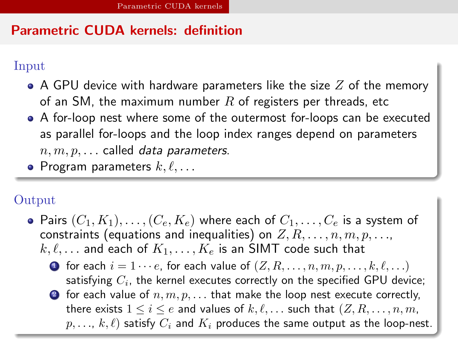# Parametric CUDA kernels: definition

#### Input

- $\bullet$  A GPU device with hardware parameters like the size  $Z$  of the memory of an SM, the maximum number  $R$  of registers per threads, etc
- A for-loop nest where some of the outermost for-loops can be executed as parallel for-loops and the loop index ranges depend on parameters  $n, m, p, \ldots$  called data parameters.
- Program parameters  $k, \ell, \ldots$

# Output

- <span id="page-14-0"></span>• Pairs  $(C_1, K_1), \ldots, (C_e, K_e)$  where each of  $C_1, \ldots, C_e$  is a system of constraints (equations and inequalities) on  $Z, R, \ldots, n, m, p, \ldots$  $k, \ell, \ldots$  and each of  $K_1, \ldots, K_e$  is an SIMT code such that
	- **1** for each  $i = 1 \cdots e$ , for each value of  $(Z, R, \ldots, n, m, p, \ldots, k, \ell, \ldots)$ satisfying  $C_i$ , the kernel executes correctly on the specified GPU device;
	- **2** for each value of  $n, m, p, \ldots$  that make the loop nest execute correctly, there exists  $1 \leq i \leq e$  and values of  $k, \ell, \ldots$  such that  $(Z, R, \ldots, n, m, \ell)$  $p, \ldots, k, \ell$  satisfy  $C_i$  and  $K_i$  produces the same output as the loop-nest.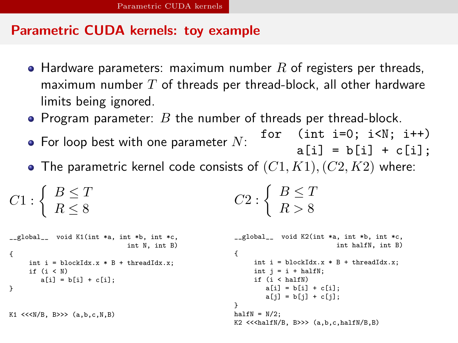### Parametric CUDA kernels: toy example

- Hardware parameters: maximum number  $R$  of registers per threads, maximum number  $T$  of threads per thread-block, all other hardware limits being ignored.
- Program parameter:  $B$  the number of threads per thread-block.
- $\bullet$  For loop best with one parameter  $N$ : for (int i=0; i<N; i++)  $a[i] = b[i] + c[i]$ :
- The parametric kernel code consists of  $(C1, K1), (C2, K2)$  where:

$$
C1: \left\{ \begin{array}{l} B \leq T \\ R \leq 8 \end{array} \right.
$$
 
$$
C2: \left\{ \begin{array}{l} B \leq T \\ R > 8 \end{array} \right.
$$

```
__global__ void K1(int *a, int *b, int *c,
                              int N, int B)
{
     int i = blockIdx.x * B + threadIdx.x;if (i < N)a[i] = b[i] + c[i];}
K1 \leq K(N/R, B>> (a, b, c, N, B)__global__ void K2(int *a, int *b, int *c,
                                                                                     int halfN, int B)
                                                          {
                                                                int i = blockIdx.x * B + threadIdx.x;
                                                                int i = i + halfN:
                                                               if (i < halfN)
                                                                   a[i] = b[i] + c[i];a[i] = b[i] + c[i];}
                                                          halfN = N/2;K2 <<<halfN/B, B>>> (a,b,c,halfN/B,B)
```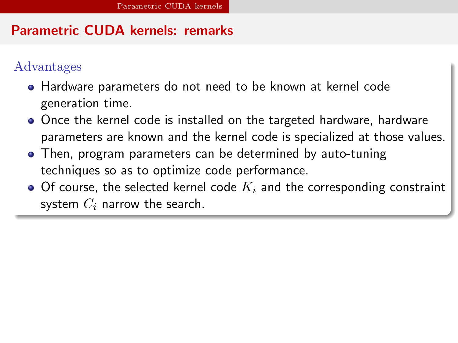# Parametric CUDA kernels: remarks

# Advantages

- Hardware parameters do not need to be known at kernel code generation time.
- Once the kernel code is installed on the targeted hardware, hardware parameters are known and the kernel code is specialized at those values.
- Then, program parameters can be determined by auto-tuning techniques so as to optimize code performance.
- <span id="page-16-0"></span> $\bullet$  Of course, the selected kernel code  $K_i$  and the corresponding constraint system  $C_i$  narrow the search.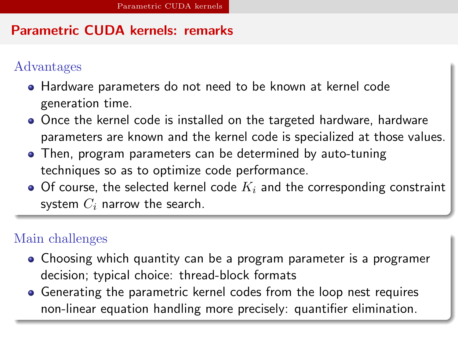# Parametric CUDA kernels: remarks

# Advantages

- Hardware parameters do not need to be known at kernel code generation time.
- Once the kernel code is installed on the targeted hardware, hardware parameters are known and the kernel code is specialized at those values.
- Then, program parameters can be determined by auto-tuning techniques so as to optimize code performance.
- $\bullet$  Of course, the selected kernel code  $K_i$  and the corresponding constraint system  $C_i$  narrow the search.

## Main challenges

- Choosing which quantity can be a program parameter is a programer decision; typical choice: thread-block formats
- <span id="page-17-0"></span>Generating the parametric kernel codes from the loop nest requires non-linear equation handling more precisely: quantifier elimination.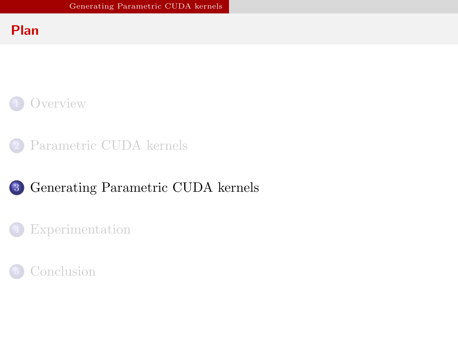### Plan





# 3 [Generating Parametric CUDA kernels](#page-18-0)

### **[Experimentation](#page-22-0)**

<span id="page-18-0"></span>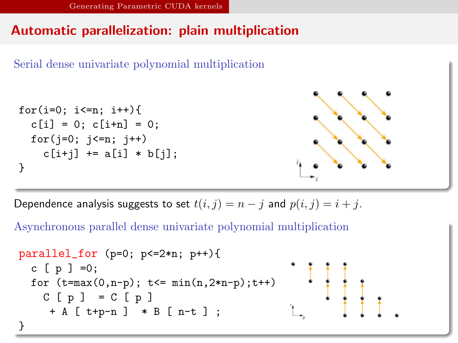# Automatic parallelization: plain multiplication



Dependence analysis suggests to set  $t(i, j) = n - j$  and  $p(i, j) = i + j$ .

Asynchronous parallel dense univariate polynomial multiplication

<span id="page-19-0"></span>
$$
\begin{array}{ll}\n\text{parallel\_for (p=0; p<=2*n; p++)}\n\text{c [ p ] = 0;} \\
\text{for (t=max(0, n-p); t<= min(n, 2*n-p); t++)}\n& C [ p ] = C [ p ] \\
&+ A [ t+p-n ] * B [ n-t ] ;\n\end{array}
$$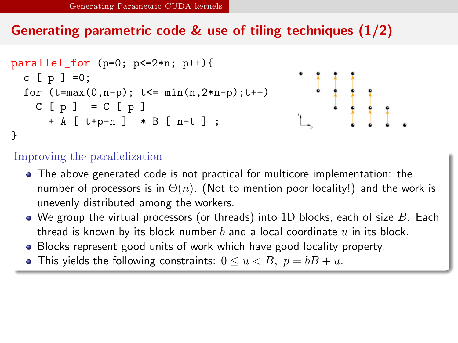# Generating parametric code & use of tiling techniques (1/2)



#### Improving the parallelization

- The above generated code is not practical for multicore implementation: the number of processors is in  $\Theta(n)$ . (Not to mention poor locality!) and the work is unevenly distributed among the workers.
- $\bullet$  We group the virtual processors (or threads) into 1D blocks, each of size B. Each thread is known by its block number  $b$  and a local coordinate  $u$  in its block.
- Blocks represent good units of work which have good locality property.
- <span id="page-20-0"></span>• This yields the following constraints:  $0 \le u \le B$ ,  $p = bB + u$ .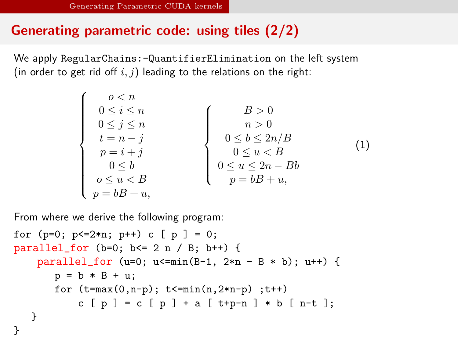# Generating parametric code: using tiles (2/2)

We apply RegularChains:-QuantifierElimination on the left system (in order to get rid off  $i, j$ ) leading to the relations on the right:

$$
\left\{\begin{array}{c} o < n \\ 0 \leq i \leq n \\ 0 \leq j \leq n \\ t = n - j \\ p = i + j \\ 0 \leq b \\ o \leq u < B \\ p = bB + u, \end{array}\right. \qquad \left\{\begin{array}{c} B > 0 \\ n > 0 \\ n > 0 \\ 0 \leq b \leq 2n/B \\ 0 \leq u < B \\ p = bB + u, \end{array}\right. \qquad (1)
$$

From where we derive the following program:

<span id="page-21-0"></span>for (p=0; p<=2\*n; p++) c [ p ] = 0; parallel\_for (b=0; b<= 2 n / B; b++) { parallel\_for (u=0; u<=min(B-1, 2\*n - B \* b); u++) { p = b \* B + u; for (t=max(0,n-p); t<=min(n,2\*n-p) ;t++) c [ p ] = c [ p ] + a [ t+p-n ] \* b [ n-t ]; } }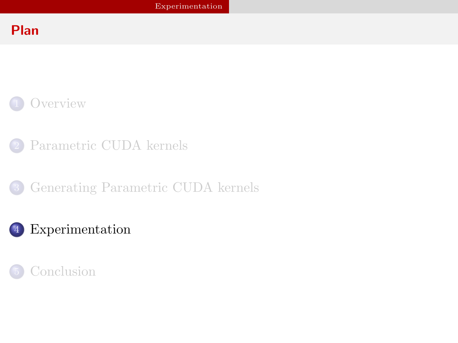# Plan



- [Parametric CUDA kernels](#page-7-0)
- 3 [Generating Parametric CUDA kernels](#page-18-0)

# 4 [Experimentation](#page-22-0)

<span id="page-22-0"></span>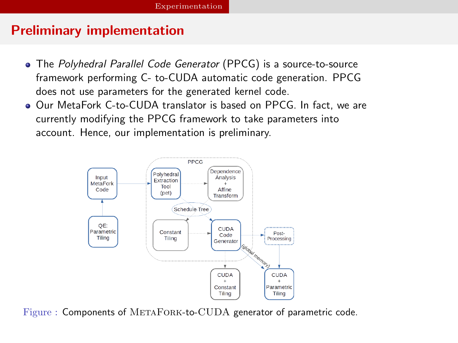# Preliminary implementation

- The Polyhedral Parallel Code Generator (PPCG) is a source-to-source framework performing C- to-CUDA automatic code generation. PPCG does not use parameters for the generated kernel code.
- Our MetaFork C-to-CUDA translator is based on PPCG. In fact, we are currently modifying the PPCG framework to take parameters into account. Hence, our implementation is preliminary.



<span id="page-23-0"></span>Figure : Components of METAFORK-to-CUDA generator of parametric code.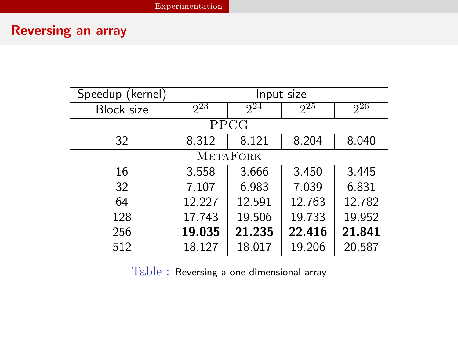# Reversing an array

| Speedup (kernel) | Input size |          |          |          |  |
|------------------|------------|----------|----------|----------|--|
| Block size       | $2^2$      | $2^{24}$ | $2^{25}$ | $2^{26}$ |  |
| PPCG             |            |          |          |          |  |
| 32               | 8.312      | 8.121    | 8.204    | 8.040    |  |
| METAFORK         |            |          |          |          |  |
| 16               | 3.558      | 3.666    | 3.450    | 3.445    |  |
| 32               | 7.107      | 6.983    | 7.039    | 6.831    |  |
| 64               | 12.227     | 12.591   | 12.763   | 12.782   |  |
| 128              | 17.743     | 19.506   | 19.733   | 19.952   |  |
| 256              | 19.035     | 21.235   | 22.416   | 21.841   |  |
| 512              | 18.127     | 18.017   | 19.206   | 20.587   |  |

<span id="page-24-0"></span>Table : Reversing a one-dimensional array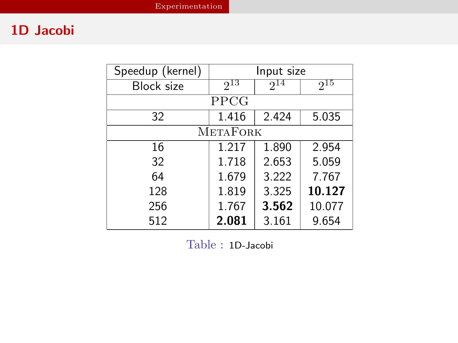# 1D Jacobi

| Speedup (kernel)  | Input size |          |          |  |  |
|-------------------|------------|----------|----------|--|--|
| <b>Block size</b> | $2^{13}$   | $2^{14}$ | $2^{15}$ |  |  |
| PPCG              |            |          |          |  |  |
| 32                | 1.416      | 2.424    | 5.035    |  |  |
| <b>METAFORK</b>   |            |          |          |  |  |
| 16                | 1.217      | 1.890    | 2.954    |  |  |
| 32                | 1.718      | 2.653    | 5.059    |  |  |
| 64                | 1.679      | 3.222    | 7.767    |  |  |
| 128               | 1.819      | 3.325    | 10.127   |  |  |
| 256               | 1.767      | 3.562    | 10.077   |  |  |
| 512               | 2.081      | 3.161    | 9.654    |  |  |

<span id="page-25-0"></span>Table : 1D-Jacobi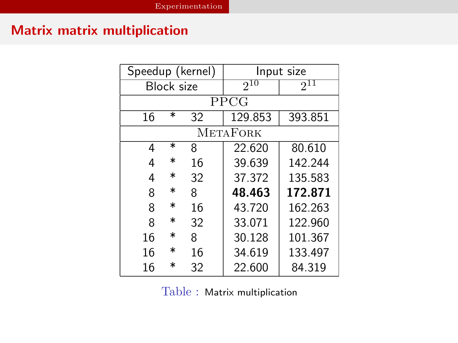# Matrix matrix multiplication

| Speedup (kernel)  |        | Input size |          |         |  |
|-------------------|--------|------------|----------|---------|--|
| <b>Block size</b> |        | $2^{10}$   | $2^{11}$ |         |  |
| PPCG              |        |            |          |         |  |
| 16                | $\ast$ | 32         | 129.853  | 393.851 |  |
| <b>METAFORK</b>   |        |            |          |         |  |
| 4                 | $\ast$ | 8          | 22.620   | 80.610  |  |
| 4                 | $\ast$ | 16         | 39.639   | 142.244 |  |
| 4                 | $\ast$ | 32         | 37.372   | 135.583 |  |
| 8                 | $\ast$ | 8          | 48.463   | 172.871 |  |
| 8                 | $\ast$ | 16         | 43.720   | 162.263 |  |
| 8                 | *      | 32         | 33.071   | 122.960 |  |
| 16                | $\ast$ | 8          | 30.128   | 101.367 |  |
| 16                | $\ast$ | 16         | 34.619   | 133.497 |  |
| 16                | $\ast$ | 32         | 22.600   | 84.319  |  |

<span id="page-26-0"></span>Table : Matrix multiplication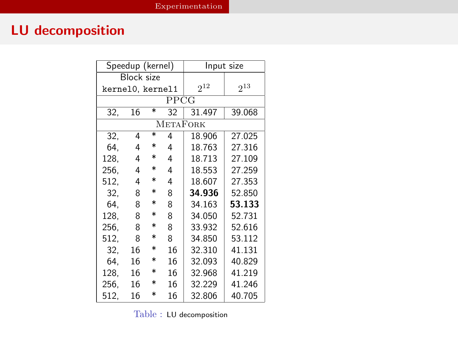# LU decomposition

| Speedup (kernel)  |    | Input size        |          |        |        |
|-------------------|----|-------------------|----------|--------|--------|
| <b>Block size</b> |    |                   |          |        |        |
| kernel0, kernel1  |    | $2^{12}$          | $2^{13}$ |        |        |
| PPCG              |    |                   |          |        |        |
| 32.               | 16 | $\overline{\ast}$ | 32       | 31.497 | 39.068 |
| <b>METAFORK</b>   |    |                   |          |        |        |
| 32.               | 4  | $\overline{\ast}$ | 4        | 18.906 | 27.025 |
| 64.               | 4  | $\ast$            | 4        | 18.763 | 27.316 |
| 128.              | 4  | $\ast$            | 4        | 18.713 | 27.109 |
| 256.              | 4  | $\ast$            | 4        | 18.553 | 27.259 |
| 512.              | 4  | $\ast$            | 4        | 18.607 | 27.353 |
| 32.               | 8  | $\ast$            | 8        | 34.936 | 52.850 |
| 64.               | 8  | $\ast$            | 8        | 34.163 | 53.133 |
| 128.              | 8  | $\ast$            | 8        | 34.050 | 52.731 |
| 256.              | 8  | $\ast$            | 8        | 33.932 | 52.616 |
| 512.              | 8  | $\ast$            | 8        | 34.850 | 53.112 |
| 32.               | 16 | $\ast$            | 16       | 32.310 | 41.131 |
| 64.               | 16 | $\ast$            | 16       | 32.093 | 40.829 |
| 128.              | 16 | $\ast$            | 16       | 32.968 | 41.219 |
| 256.              | 16 | $\ast$            | 16       | 32.229 | 41.246 |
| 512.              | 16 | $\ast$            | 16       | 32.806 | 40.705 |

<span id="page-27-0"></span>Table : LU decomposition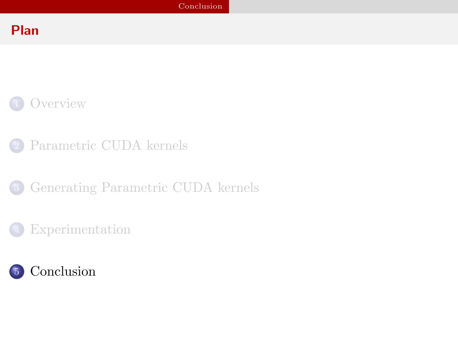# Plan



- [Parametric CUDA kernels](#page-7-0)
- 3 [Generating Parametric CUDA kernels](#page-18-0)
	- [Experimentation](#page-22-0)

<span id="page-28-0"></span>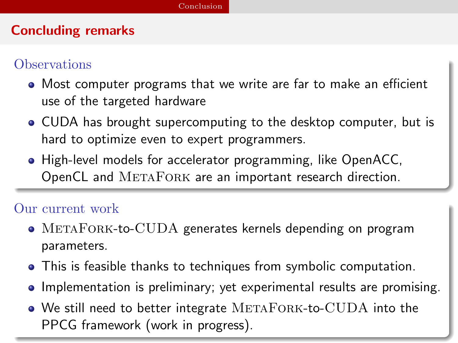# Concluding remarks

# **Observations**

- Most computer programs that we write are far to make an efficient use of the targeted hardware
- CUDA has brought supercomputing to the desktop computer, but is hard to optimize even to expert programmers.
- High-level models for accelerator programming, like OpenACC, OpenCL and METAFORK are an important research direction.

#### Our current work

- METAFORK-to-CUDA generates kernels depending on program parameters.
- This is feasible thanks to techniques from symbolic computation.
- Implementation is preliminary; yet experimental results are promising.
- <span id="page-29-0"></span> $\bullet$  We still need to better integrate METAFORK-to-CUDA into the PPCG framework (work in progress).